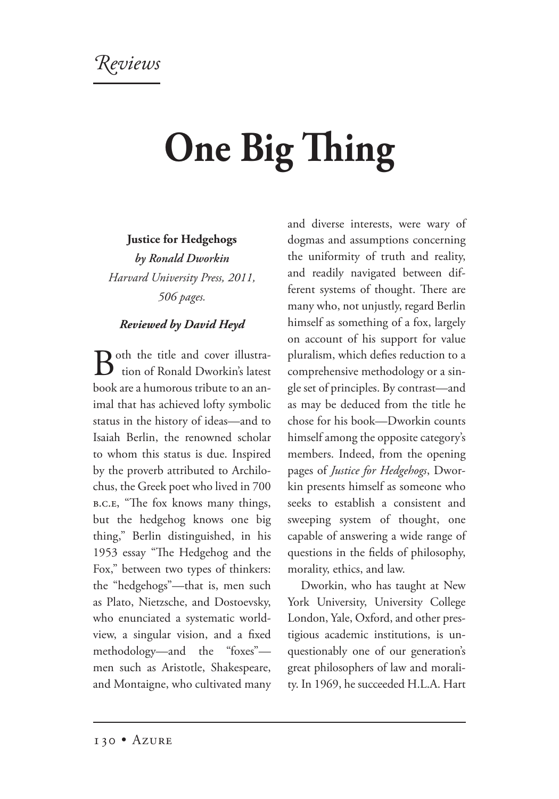Reviews

# **One Big Thing**

## **Justice for Hedgehogs**

*by Ronald Dworkin Harvard University Press, 2011, 506 pages.*

### *Reviewed by David Heyd*

**B** oth the title and cover illustrabook are a humorous tribute to an animal that has achieved lofty symbolic status in the history of ideas—and to Isaiah Berlin, the renowned scholar to whom this status is due. Inspired by the proverb attributed to Archilochus, the Greek poet who lived in 700 B.C.E, "The fox knows many things, but the hedgehog knows one big thing," Berlin distinguished, in his 1953 essay "The Hedgehog and the Fox," between two types of thinkers: the "hedgehogs"—that is, men such as Plato, Nietzsche, and Dostoevsky, who enunciated a systematic worldview, a singular vision, and a fixed methodology—and the "foxes" men such as Aristotle, Shakespeare, and Montaigne, who cultivated many

and diverse interests, were wary of dogmas and assumptions concerning the uniformity of truth and reality, and readily navigated between different systems of thought. There are many who, not unjustly, regard Berlin himself as something of a fox, largely on account of his support for value pluralism, which defies reduction to a comprehensive methodology or a single set of principles. By contrast—and as may be deduced from the title he chose for his book—Dworkin counts himself among the opposite category's members. Indeed, from the opening pages of *Justice for Hedgehogs*, Dworkin presents himself as someone who seeks to establish a consistent and sweeping system of thought, one capable of answering a wide range of questions in the fields of philosophy, morality, ethics, and law.

Dworkin, who has taught at New York University, University College London, Yale, Oxford, and other prestigious academic institutions, is unquestionably one of our generation's great philosophers of law and morality. In 1969, he succeeded H.L.A. Hart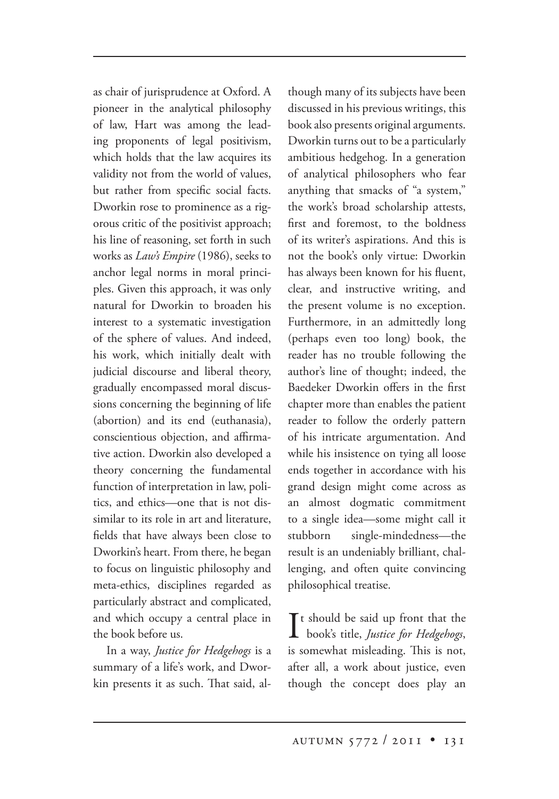as chair of jurisprudence at Oxford. A pioneer in the analytical philosophy of law, Hart was among the leading proponents of legal positivism, which holds that the law acquires its validity not from the world of values, but rather from specific social facts. Dworkin rose to prominence as a rigorous critic of the positivist approach; his line of reasoning, set forth in such works as *Law's Empire* (1986), seeks to anchor legal norms in moral principles. Given this approach, it was only natural for Dworkin to broaden his interest to a systematic investigation of the sphere of values. And indeed, his work, which initially dealt with judicial discourse and liberal theory, gradually encompassed moral discussions concerning the beginning of life (abortion) and its end (euthanasia), conscientious objection, and affirmative action. Dworkin also developed a theory concerning the fundamental function of interpretation in law, politics, and ethics—one that is not dissimilar to its role in art and literature, fields that have always been close to Dworkin's heart. From there, he began to focus on linguistic philosophy and meta-ethics, disciplines regarded as particularly abstract and complicated, and which occupy a central place in the book before us.

In a way, *Justice for Hedgehogs* is a summary of a life's work, and Dworkin presents it as such. That said, although many of its subjects have been discussed in his previous writings, this book also presents original arguments. Dworkin turns out to be a particularly ambitious hedgehog. In a generation of analytical philosophers who fear anything that smacks of "a system," the work's broad scholarship attests, first and foremost, to the boldness of its writer's aspirations. And this is not the book's only virtue: Dworkin has always been known for his fluent, clear, and instructive writing, and the present volume is no exception. Furthermore, in an admittedly long (perhaps even too long) book, the reader has no trouble following the author's line of thought; indeed, the Baedeker Dworkin offers in the first chapter more than enables the patient reader to follow the orderly pattern of his intricate argumentation. And while his insistence on tying all loose ends together in accordance with his grand design might come across as an almost dogmatic commitment to a single idea—some might call it stubborn single-mindedness—the result is an undeniably brilliant, challenging, and often quite convincing philosophical treatise.

It should be said up front that the<br>book's title, *Justice for Hedgehogs*,  $\mathbf T$ t should be said up front that the is somewhat misleading. This is not, after all, a work about justice, even though the concept does play an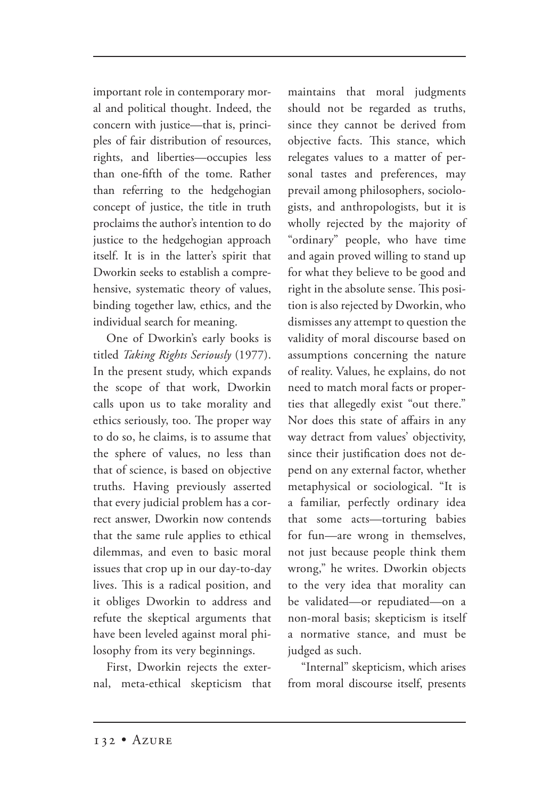important role in contemporary moral and political thought. Indeed, the concern with justice—that is, principles of fair distribution of resources, rights, and liberties—occupies less than one-fifth of the tome. Rather than referring to the hedgehogian concept of justice, the title in truth proclaims the author's intention to do justice to the hedgehogian approach itself. It is in the latter's spirit that Dworkin seeks to establish a comprehensive, systematic theory of values, binding together law, ethics, and the individual search for meaning.

One of Dworkin's early books is titled *Taking Rights Seriously* (1977). In the present study, which expands the scope of that work, Dworkin calls upon us to take morality and ethics seriously, too. The proper way to do so, he claims, is to assume that the sphere of values, no less than that of science, is based on objective truths. Having previously asserted that every judicial problem has a correct answer, Dworkin now contends that the same rule applies to ethical dilemmas, and even to basic moral issues that crop up in our day-to-day lives. This is a radical position, and it obliges Dworkin to address and refute the skeptical arguments that have been leveled against moral philosophy from its very beginnings.

First, Dworkin rejects the external, meta-ethical skepticism that maintains that moral judgments should not be regarded as truths, since they cannot be derived from objective facts. This stance, which relegates values to a matter of personal tastes and preferences, may prevail among philosophers, sociologists, and anthropologists, but it is wholly rejected by the majority of "ordinary" people, who have time and again proved willing to stand up for what they believe to be good and right in the absolute sense. This position is also rejected by Dworkin, who dismisses any attempt to question the validity of moral discourse based on assumptions concerning the nature of reality. Values, he explains, do not need to match moral facts or properties that allegedly exist "out there." Nor does this state of affairs in any way detract from values' objectivity, since their justification does not depend on any external factor, whether metaphysical or sociological. "It is a familiar, perfectly ordinary idea that some acts—torturing babies for fun—are wrong in themselves, not just because people think them wrong," he writes. Dworkin objects to the very idea that morality can be validated—or repudiated—on a non-moral basis; skepticism is itself a normative stance, and must be judged as such.

"Internal" skepticism, which arises from moral discourse itself, presents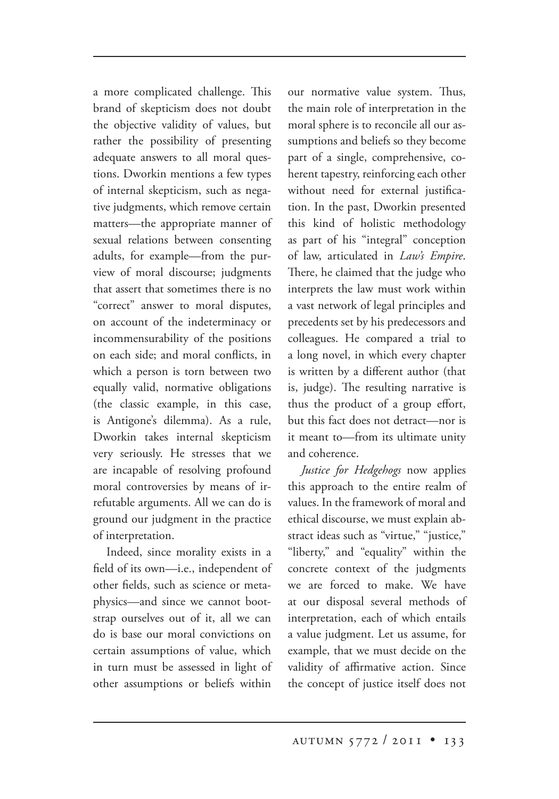a more complicated challenge. This brand of skepticism does not doubt the objective validity of values, but rather the possibility of presenting adequate answers to all moral questions. Dworkin mentions a few types of internal skepticism, such as negative judgments, which remove certain matters—the appropriate manner of sexual relations between consenting adults, for example—from the purview of moral discourse; judgments that assert that sometimes there is no "correct" answer to moral disputes, on account of the indeterminacy or incommensurability of the positions on each side; and moral conflicts, in which a person is torn between two equally valid, normative obligations (the classic example, in this case, is Antigone's dilemma). As a rule, Dworkin takes internal skepticism very seriously. He stresses that we are incapable of resolving profound moral controversies by means of irrefutable arguments. All we can do is ground our judgment in the practice of interpretation.

Indeed, since morality exists in a field of its own—i.e., independent of other fields, such as science or metaphysics—and since we cannot bootstrap ourselves out of it, all we can do is base our moral convictions on certain assumptions of value, which in turn must be assessed in light of other assumptions or beliefs within

our normative value system. Thus, the main role of interpretation in the moral sphere is to reconcile all our assumptions and beliefs so they become part of a single, comprehensive, coherent tapestry, reinforcing each other without need for external justification. In the past, Dworkin presented this kind of holistic methodology as part of his "integral" conception of law, articulated in *Law's Empire*. There, he claimed that the judge who interprets the law must work within a vast network of legal principles and precedents set by his predecessors and colleagues. He compared a trial to a long novel, in which every chapter is written by a different author (that is, judge). The resulting narrative is thus the product of a group effort, but this fact does not detract—nor is it meant to—from its ultimate unity and coherence.

*Justice for Hedgehogs* now applies this approach to the entire realm of values. In the framework of moral and ethical discourse, we must explain abstract ideas such as "virtue," "justice," "liberty," and "equality" within the concrete context of the judgments we are forced to make. We have at our disposal several methods of interpretation, each of which entails a value judgment. Let us assume, for example, that we must decide on the validity of affirmative action. Since the concept of justice itself does not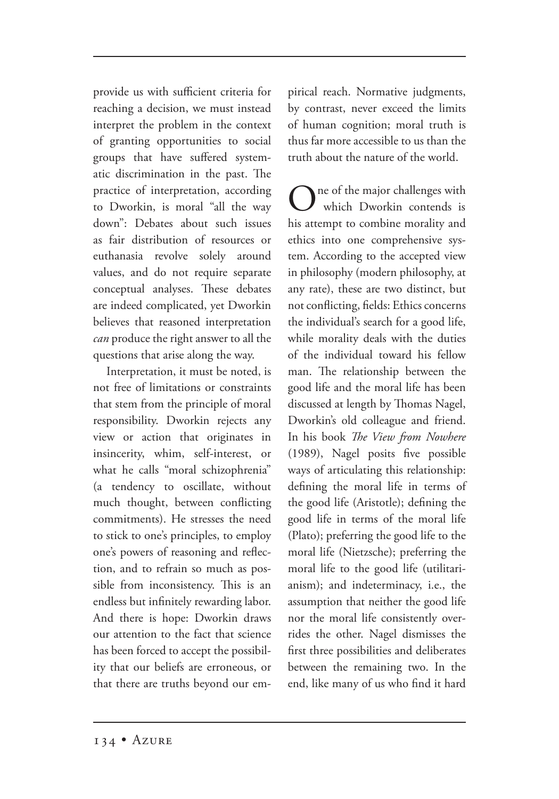provide us with sufficient criteria for reaching a decision, we must instead interpret the problem in the context of granting opportunities to social groups that have suffered systematic discrimination in the past. The practice of interpretation, according to Dworkin, is moral "all the way down": Debates about such issues as fair distribution of resources or euthanasia revolve solely around values, and do not require separate conceptual analyses. These debates are indeed complicated, yet Dworkin believes that reasoned interpretation *can* produce the right answer to all the questions that arise along the way.

Interpretation, it must be noted, is not free of limitations or constraints that stem from the principle of moral responsibility. Dworkin rejects any view or action that originates in insincerity, whim, self-interest, or what he calls "moral schizophrenia" (a tendency to oscillate, without much thought, between conflicting commitments). He stresses the need to stick to one's principles, to employ one's powers of reasoning and reflection, and to refrain so much as possible from inconsistency. This is an endless but infinitely rewarding labor. And there is hope: Dworkin draws our attention to the fact that science has been forced to accept the possibility that our beliefs are erroneous, or that there are truths beyond our empirical reach. Normative judgments, by contrast, never exceed the limits of human cognition; moral truth is thus far more accessible to us than the truth about the nature of the world.

ne of the major challenges with which Dworkin contends is his attempt to combine morality and ethics into one comprehensive system. According to the accepted view in philosophy (modern philosophy, at any rate), these are two distinct, but not conflicting, fields: Ethics concerns the individual's search for a good life, while morality deals with the duties of the individual toward his fellow man. The relationship between the good life and the moral life has been discussed at length by Thomas Nagel, Dworkin's old colleague and friend. In his book *The View from Nowhere* (1989), Nagel posits five possible ways of articulating this relationship: defining the moral life in terms of the good life (Aristotle); defining the good life in terms of the moral life (Plato); preferring the good life to the moral life (Nietzsche); preferring the moral life to the good life (utilitarianism); and indeterminacy, i.e., the assumption that neither the good life nor the moral life consistently overrides the other. Nagel dismisses the first three possibilities and deliberates between the remaining two. In the end, like many of us who find it hard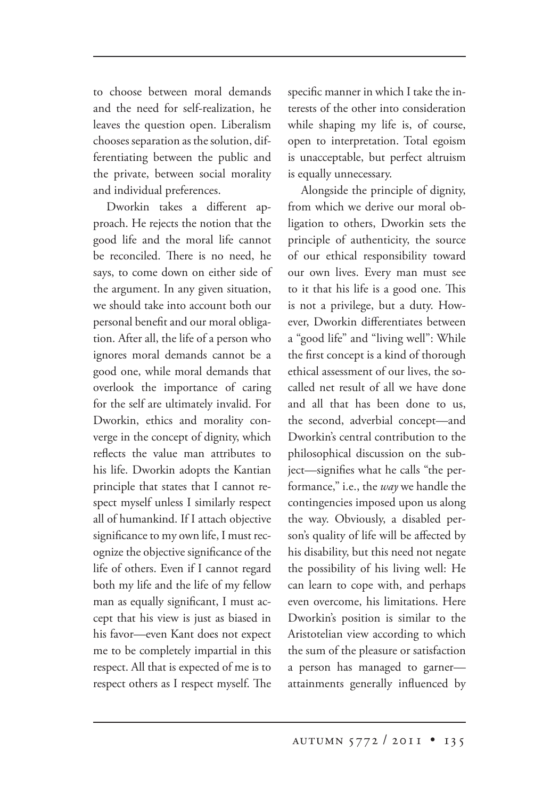to choose between moral demands and the need for self-realization, he leaves the question open. Liberalism chooses separation as the solution, differentiating between the public and the private, between social morality and individual preferences.

Dworkin takes a different approach. He rejects the notion that the good life and the moral life cannot be reconciled. There is no need, he says, to come down on either side of the argument. In any given situation, we should take into account both our personal benefit and our moral obligation. After all, the life of a person who ignores moral demands cannot be a good one, while moral demands that overlook the importance of caring for the self are ultimately invalid. For Dworkin, ethics and morality converge in the concept of dignity, which reflects the value man attributes to his life. Dworkin adopts the Kantian principle that states that I cannot respect myself unless I similarly respect all of humankind. If I attach objective significance to my own life, I must recognize the objective significance of the life of others. Even if I cannot regard both my life and the life of my fellow man as equally significant, I must accept that his view is just as biased in his favor—even Kant does not expect me to be completely impartial in this respect. All that is expected of me is to respect others as I respect myself. The

specific manner in which I take the interests of the other into consideration while shaping my life is, of course, open to interpretation. Total egoism is unacceptable, but perfect altruism is equally unnecessary.

Alongside the principle of dignity, from which we derive our moral obligation to others, Dworkin sets the principle of authenticity, the source of our ethical responsibility toward our own lives. Every man must see to it that his life is a good one. This is not a privilege, but a duty. However, Dworkin differentiates between a "good life" and "living well": While the first concept is a kind of thorough ethical assessment of our lives, the socalled net result of all we have done and all that has been done to us, the second, adverbial concept—and Dworkin's central contribution to the philosophical discussion on the subject—signifies what he calls "the performance," i.e., the *way* we handle the contingencies imposed upon us along the way. Obviously, a disabled person's quality of life will be affected by his disability, but this need not negate the possibility of his living well: He can learn to cope with, and perhaps even overcome, his limitations. Here Dworkin's position is similar to the Aristotelian view according to which the sum of the pleasure or satisfaction a person has managed to garner attainments generally influenced by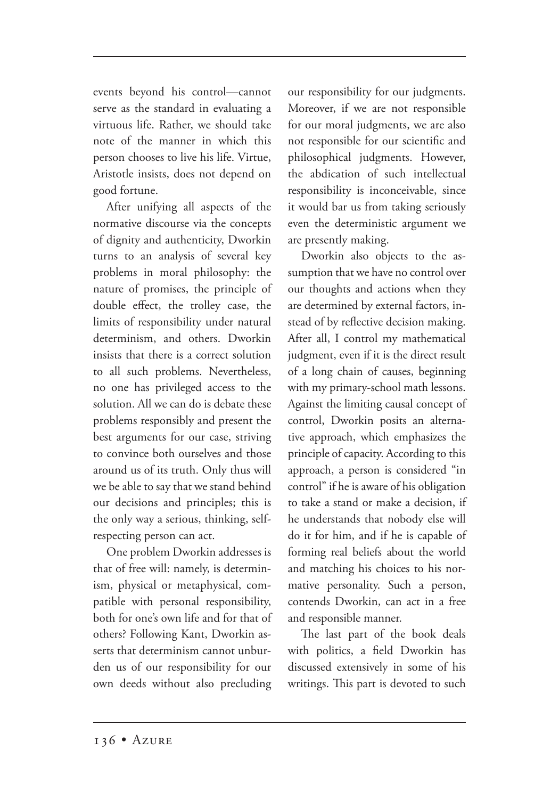events beyond his control—cannot serve as the standard in evaluating a virtuous life. Rather, we should take note of the manner in which this person chooses to live his life. Virtue, Aristotle insists, does not depend on good fortune.

After unifying all aspects of the normative discourse via the concepts of dignity and authenticity, Dworkin turns to an analysis of several key problems in moral philosophy: the nature of promises, the principle of double effect, the trolley case, the limits of responsibility under natural determinism, and others. Dworkin insists that there is a correct solution to all such problems. Nevertheless, no one has privileged access to the solution. All we can do is debate these problems responsibly and present the best arguments for our case, striving to convince both ourselves and those around us of its truth. Only thus will we be able to say that we stand behind our decisions and principles; this is the only way a serious, thinking, selfrespecting person can act.

One problem Dworkin addresses is that of free will: namely, is determinism, physical or metaphysical, compatible with personal responsibility, both for one's own life and for that of others? Following Kant, Dworkin asserts that determinism cannot unburden us of our responsibility for our own deeds without also precluding our responsibility for our judgments. Moreover, if we are not responsible for our moral judgments, we are also not responsible for our scientific and philosophical judgments. However, the abdication of such intellectual responsibility is inconceivable, since it would bar us from taking seriously even the deterministic argument we are presently making.

Dworkin also objects to the assumption that we have no control over our thoughts and actions when they are determined by external factors, instead of by reflective decision making. After all, I control my mathematical judgment, even if it is the direct result of a long chain of causes, beginning with my primary-school math lessons. Against the limiting causal concept of control, Dworkin posits an alternative approach, which emphasizes the principle of capacity. According to this approach, a person is considered "in control" if he is aware of his obligation to take a stand or make a decision, if he understands that nobody else will do it for him, and if he is capable of forming real beliefs about the world and matching his choices to his normative personality. Such a person, contends Dworkin, can act in a free and responsible manner.

The last part of the book deals with politics, a field Dworkin has discussed extensively in some of his writings. This part is devoted to such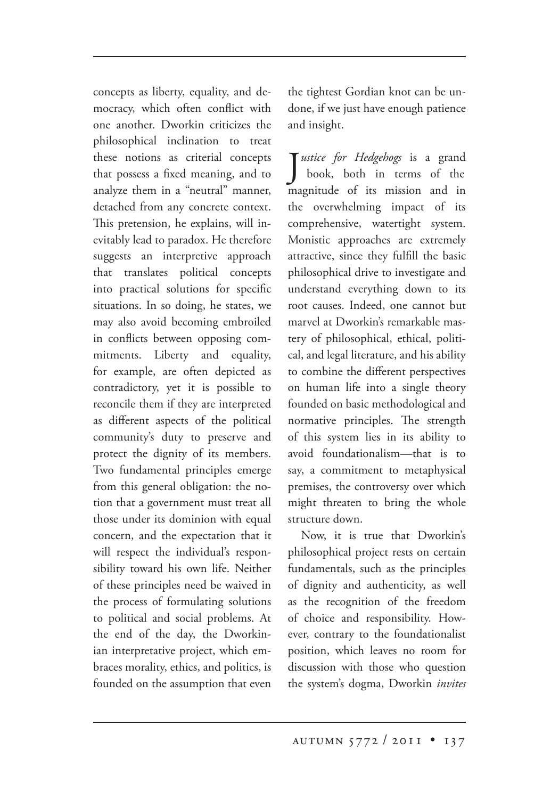concepts as liberty, equality, and democracy, which often conflict with one another. Dworkin criticizes the philosophical inclination to treat these notions as criterial concepts that possess a fixed meaning, and to analyze them in a "neutral" manner, detached from any concrete context. This pretension, he explains, will inevitably lead to paradox. He therefore suggests an interpretive approach that translates political concepts into practical solutions for specific situations. In so doing, he states, we may also avoid becoming embroiled in conflicts between opposing commitments. Liberty and equality, for example, are often depicted as contradictory, yet it is possible to reconcile them if they are interpreted as different aspects of the political community's duty to preserve and protect the dignity of its members. Two fundamental principles emerge from this general obligation: the notion that a government must treat all those under its dominion with equal concern, and the expectation that it will respect the individual's responsibility toward his own life. Neither of these principles need be waived in the process of formulating solutions to political and social problems. At the end of the day, the Dworkinian interpretative project, which embraces morality, ethics, and politics, is founded on the assumption that even the tightest Gordian knot can be undone, if we just have enough patience and insight.

**J** *ustice for Hedgehogs* is a grand<br>book, both in terms of the book, both in terms of the magnitude of its mission and in the overwhelming impact of its comprehensive, watertight system. Monistic approaches are extremely attractive, since they fulfill the basic philosophical drive to investigate and understand everything down to its root causes. Indeed, one cannot but marvel at Dworkin's remarkable mastery of philosophical, ethical, political, and legal literature, and his ability to combine the different perspectives on human life into a single theory founded on basic methodological and normative principles. The strength of this system lies in its ability to avoid foundationalism—that is to say, a commitment to metaphysical premises, the controversy over which might threaten to bring the whole structure down.

Now, it is true that Dworkin's philosophical project rests on certain fundamentals, such as the principles of dignity and authenticity, as well as the recognition of the freedom of choice and responsibility. However, contrary to the foundationalist position, which leaves no room for discussion with those who question the system's dogma, Dworkin *invites*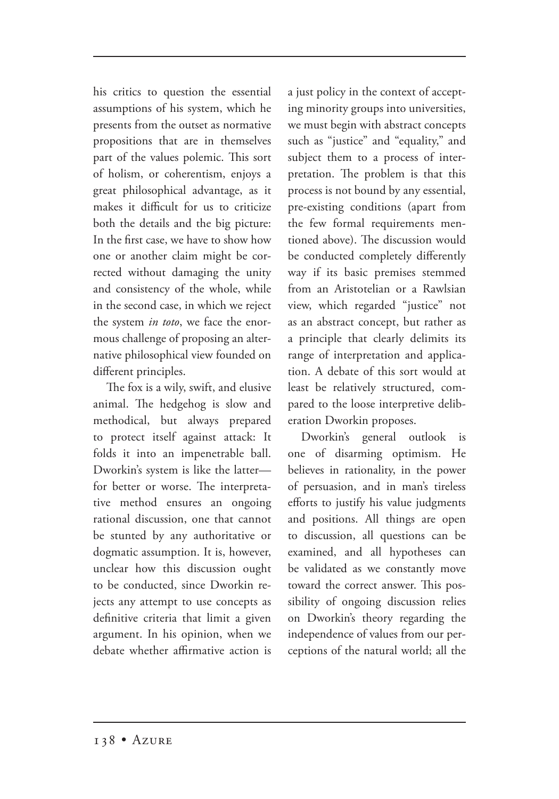his critics to question the essential assumptions of his system, which he presents from the outset as normative propositions that are in themselves part of the values polemic. This sort of holism, or coherentism, enjoys a great philosophical advantage, as it makes it difficult for us to criticize both the details and the big picture: In the first case, we have to show how one or another claim might be corrected without damaging the unity and consistency of the whole, while in the second case, in which we reject the system *in toto*, we face the enormous challenge of proposing an alternative philosophical view founded on different principles.

The fox is a wily, swift, and elusive animal. The hedgehog is slow and methodical, but always prepared to protect itself against attack: It folds it into an impenetrable ball. Dworkin's system is like the latter for better or worse. The interpretative method ensures an ongoing rational discussion, one that cannot be stunted by any authoritative or dogmatic assumption. It is, however, unclear how this discussion ought to be conducted, since Dworkin rejects any attempt to use concepts as definitive criteria that limit a given argument. In his opinion, when we debate whether affirmative action is a just policy in the context of accepting minority groups into universities, we must begin with abstract concepts such as "justice" and "equality," and subject them to a process of interpretation. The problem is that this process is not bound by any essential, pre-existing conditions (apart from the few formal requirements mentioned above). The discussion would be conducted completely differently way if its basic premises stemmed from an Aristotelian or a Rawlsian view, which regarded "justice" not as an abstract concept, but rather as a principle that clearly delimits its range of interpretation and application. A debate of this sort would at least be relatively structured, compared to the loose interpretive deliberation Dworkin proposes.

Dworkin's general outlook is one of disarming optimism. He believes in rationality, in the power of persuasion, and in man's tireless efforts to justify his value judgments and positions. All things are open to discussion, all questions can be examined, and all hypotheses can be validated as we constantly move toward the correct answer. This possibility of ongoing discussion relies on Dworkin's theory regarding the independence of values from our perceptions of the natural world; all the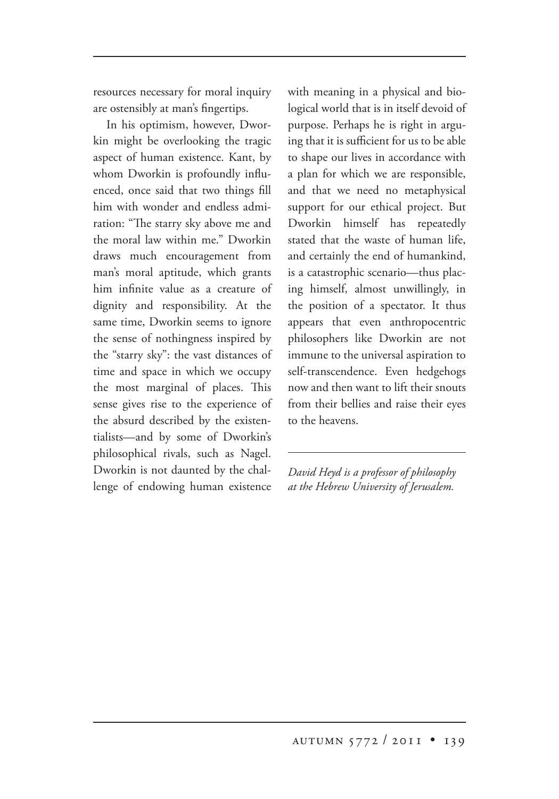resources necessary for moral inquiry are ostensibly at man's fingertips.

In his optimism, however, Dworkin might be overlooking the tragic aspect of human existence. Kant, by whom Dworkin is profoundly influenced, once said that two things fill him with wonder and endless admiration: "The starry sky above me and the moral law within me." Dworkin draws much encouragement from man's moral aptitude, which grants him infinite value as a creature of dignity and responsibility. At the same time, Dworkin seems to ignore the sense of nothingness inspired by the "starry sky": the vast distances of time and space in which we occupy the most marginal of places. This sense gives rise to the experience of the absurd described by the existentialists—and by some of Dworkin's philosophical rivals, such as Nagel. Dworkin is not daunted by the challenge of endowing human existence

with meaning in a physical and biological world that is in itself devoid of purpose. Perhaps he is right in arguing that it is sufficient for us to be able to shape our lives in accordance with a plan for which we are responsible, and that we need no metaphysical support for our ethical project. But Dworkin himself has repeatedly stated that the waste of human life, and certainly the end of humankind, is a catastrophic scenario—thus placing himself, almost unwillingly, in the position of a spectator. It thus appears that even anthropocentric philosophers like Dworkin are not immune to the universal aspiration to self-transcendence. Even hedgehogs now and then want to lift their snouts from their bellies and raise their eyes to the heavens.

*David Heyd is a professor of philosophy at the Hebrew University of Jerusalem.*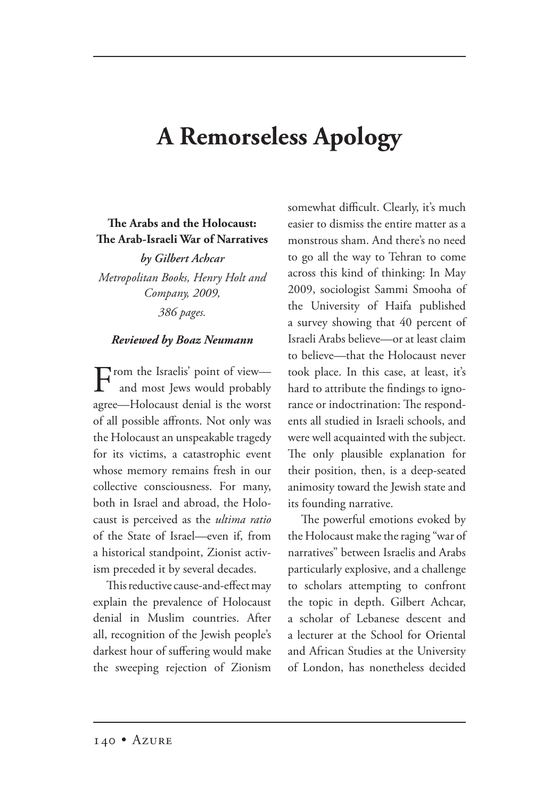# **A Remorseless Apology**

## **e Arabs and the Holocaust: e Arab-Israeli War of Narratives**

*by Gilbert Achcar Metropolitan Books, Henry Holt and Company, 2009, 386 pages.*

#### *Reviewed by Boaz Neumann*

 $\Gamma$ <sup>rom</sup> the Israelis' point of view and most Jews would probably agree—Holocaust denial is the worst of all possible affronts. Not only was the Holocaust an unspeakable tragedy for its victims, a catastrophic event whose memory remains fresh in our collective consciousness. For many, both in Israel and abroad, the Holocaust is perceived as the *ultima ratio* of the State of Israel—even if, from a historical standpoint, Zionist activism preceded it by several decades.

This reductive cause-and-effect may explain the prevalence of Holocaust denial in Muslim countries. After all, recognition of the Jewish people's darkest hour of suffering would make the sweeping rejection of Zionism somewhat difficult. Clearly, it's much easier to dismiss the entire matter as a monstrous sham. And there's no need to go all the way to Tehran to come across this kind of thinking: In May 2009, sociologist Sammi Smooha of the University of Haifa published a survey showing that 40 percent of Israeli Arabs believe—or at least claim to believe—that the Holocaust never took place. In this case, at least, it's hard to attribute the findings to ignorance or indoctrination: The respondents all studied in Israeli schools, and were well acquainted with the subject. The only plausible explanation for their position, then, is a deep-seated animosity toward the Jewish state and its founding narrative.

The powerful emotions evoked by the Holocaust make the raging "war of narratives" between Israelis and Arabs particularly explosive, and a challenge to scholars attempting to confront the topic in depth. Gilbert Achcar, a scholar of Lebanese descent and a lecturer at the School for Oriental and African Studies at the University of London, has nonetheless decided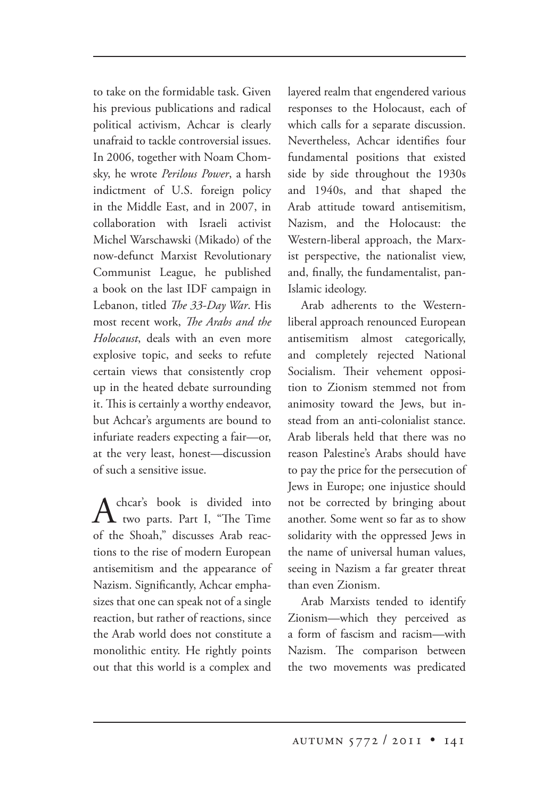to take on the formidable task. Given his previous publications and radical political activism, Achcar is clearly unafraid to tackle controversial issues. In 2006, together with Noam Chomsky, he wrote *Perilous Power*, a harsh indictment of U.S. foreign policy in the Middle East, and in 2007, in collaboration with Israeli activist Michel Warschawski (Mikado) of the now-defunct Marxist Revolutionary Communist League, he published a book on the last IDF campaign in Lebanon, titled *The 33-Day War*. His most recent work. *The Arabs and the Holocaust*, deals with an even more explosive topic, and seeks to refute certain views that consistently crop up in the heated debate surrounding it. This is certainly a worthy endeavor, but Achcar's arguments are bound to infuriate readers expecting a fair—or, at the very least, honest—discussion of such a sensitive issue.

 $\mathbf{A}$  chcar's book is divided into two parts. Part I, "The Time" of the Shoah," discusses Arab reactions to the rise of modern European antisemitism and the appearance of Nazism. Significantly, Achcar emphasizes that one can speak not of a single reaction, but rather of reactions, since the Arab world does not constitute a monolithic entity. He rightly points out that this world is a complex and

layered realm that engendered various responses to the Holocaust, each of which calls for a separate discussion. Nevertheless, Achcar identifies four fundamental positions that existed side by side throughout the 1930s and 1940s, and that shaped the Arab attitude toward antisemitism, Nazism, and the Holocaust: the Western-liberal approach, the Marxist perspective, the nationalist view, and, finally, the fundamentalist, pan-Islamic ideology.

Arab adherents to the Westernliberal approach renounced European antisemitism almost categorically, and completely rejected National Socialism. Their vehement opposition to Zionism stemmed not from animosity toward the Jews, but instead from an anti-colonialist stance. Arab liberals held that there was no reason Palestine's Arabs should have to pay the price for the persecution of Jews in Europe; one injustice should not be corrected by bringing about another. Some went so far as to show solidarity with the oppressed Jews in the name of universal human values, seeing in Nazism a far greater threat than even Zionism.

Arab Marxists tended to identify Zionism—which they perceived as a form of fascism and racism—with Nazism. The comparison between the two movements was predicated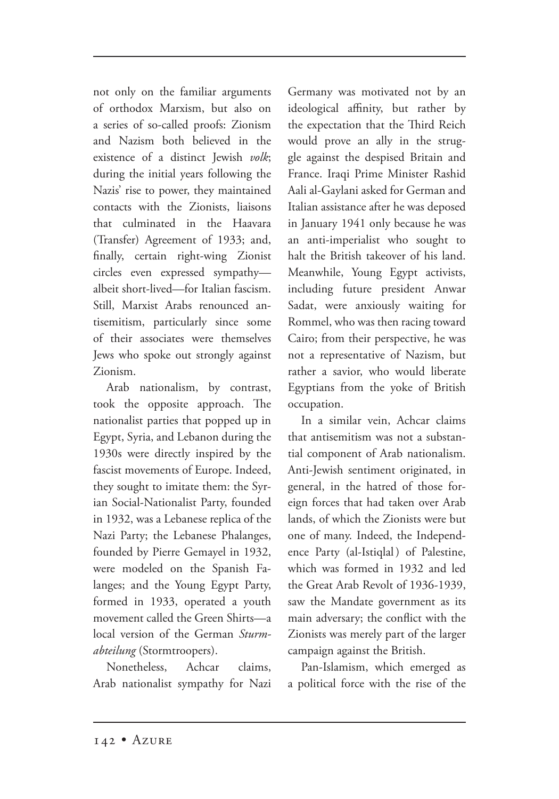not only on the familiar arguments of orthodox Marxism, but also on a series of so-called proofs: Zionism and Nazism both believed in the existence of a distinct Jewish *volk*; during the initial years following the Nazis' rise to power, they maintained contacts with the Zionists, liaisons that culminated in the Haavara (Transfer) Agreement of 1933; and, finally, certain right-wing Zionist circles even expressed sympathy albeit short-lived—for Italian fascism. Still, Marxist Arabs renounced antisemitism, particularly since some of their associates were themselves Jews who spoke out strongly against Zionism.

Arab nationalism, by contrast, took the opposite approach. The nationalist parties that popped up in Egypt, Syria, and Lebanon during the 1930s were directly inspired by the fascist movements of Europe. Indeed, they sought to imitate them: the Syrian Social-Nationalist Party, founded in 1932, was a Lebanese replica of the Nazi Party; the Lebanese Phalanges, founded by Pierre Gemayel in 1932, were modeled on the Spanish Falanges; and the Young Egypt Party, formed in 1933, operated a youth movement called the Green Shirts—a local version of the German *Sturmabteilung* (Stormtroopers).

Nonetheless, Achcar claims, Arab nationalist sympathy for Nazi Germany was motivated not by an ideological affinity, but rather by the expectation that the Third Reich would prove an ally in the struggle against the despised Britain and France. Iraqi Prime Minister Rashid Aali al-Gaylani asked for German and Italian assistance after he was deposed in January 1941 only because he was an anti-imperialist who sought to halt the British takeover of his land. Meanwhile, Young Egypt activists, including future president Anwar Sadat, were anxiously waiting for Rommel, who was then racing toward Cairo; from their perspective, he was not a representative of Nazism, but rather a savior, who would liberate Egyptians from the yoke of British occupation.

In a similar vein, Achcar claims that antisemitism was not a substantial component of Arab nationalism. Anti-Jewish sentiment originated, in general, in the hatred of those foreign forces that had taken over Arab lands, of which the Zionists were but one of many. Indeed, the Independence Party (al-Istiqlal) of Palestine, which was formed in 1932 and led the Great Arab Revolt of 1936-1939, saw the Mandate government as its main adversary; the conflict with the Zionists was merely part of the larger campaign against the British.

Pan-Islamism, which emerged as a political force with the rise of the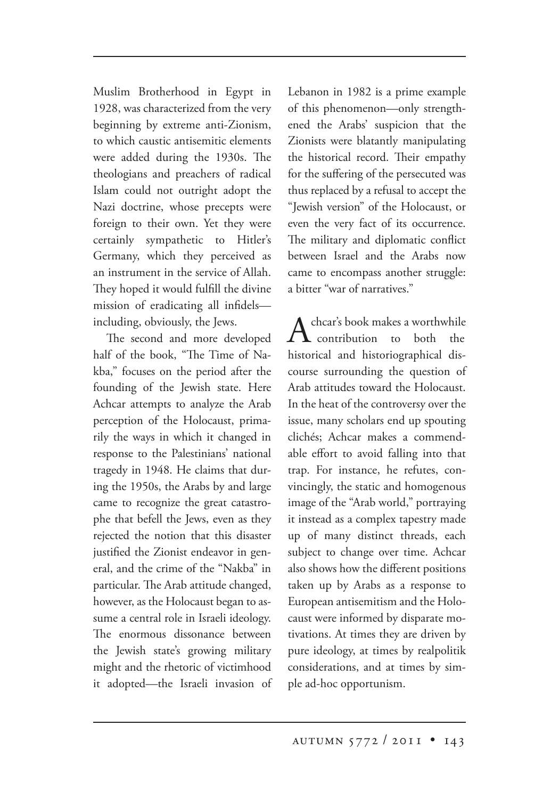Muslim Brotherhood in Egypt in 1928, was characterized from the very beginning by extreme anti-Zionism, to which caustic antisemitic elements were added during the 1930s. The theologians and preachers of radical Islam could not outright adopt the Nazi doctrine, whose precepts were foreign to their own. Yet they were certainly sympathetic to Hitler's Germany, which they perceived as an instrument in the service of Allah. They hoped it would fulfill the divine mission of eradicating all infidels including, obviously, the Jews.

The second and more developed half of the book, "The Time of Nakba," focuses on the period after the founding of the Jewish state. Here Achcar attempts to analyze the Arab perception of the Holocaust, primarily the ways in which it changed in response to the Palestinians' national tragedy in 1948. He claims that during the 1950s, the Arabs by and large came to recognize the great catastrophe that befell the Jews, even as they rejected the notion that this disaster justified the Zionist endeavor in general, and the crime of the "Nakba" in particular. The Arab attitude changed, however, as the Holocaust began to assume a central role in Israeli ideology. The enormous dissonance between the Jewish state's growing military might and the rhetoric of victimhood it adopted—the Israeli invasion of Lebanon in 1982 is a prime example of this phenomenon—only strengthened the Arabs' suspicion that the Zionists were blatantly manipulating the historical record. Their empathy for the suffering of the persecuted was thus replaced by a refusal to accept the "Jewish version" of the Holocaust, or even the very fact of its occurrence. The military and diplomatic conflict between Israel and the Arabs now came to encompass another struggle: a bitter "war of narratives."

chcar's book makes a worthwhile<br>contribution to both the contribution to both historical and historiographical discourse surrounding the question of Arab attitudes toward the Holocaust. In the heat of the controversy over the issue, many scholars end up spouting clichés; Achcar makes a commendable effort to avoid falling into that trap. For instance, he refutes, convincingly, the static and homogenous image of the "Arab world," portraying it instead as a complex tapestry made up of many distinct threads, each subject to change over time. Achcar also shows how the different positions taken up by Arabs as a response to European antisemitism and the Holocaust were informed by disparate motivations. At times they are driven by pure ideology, at times by realpolitik considerations, and at times by simple ad-hoc opportunism.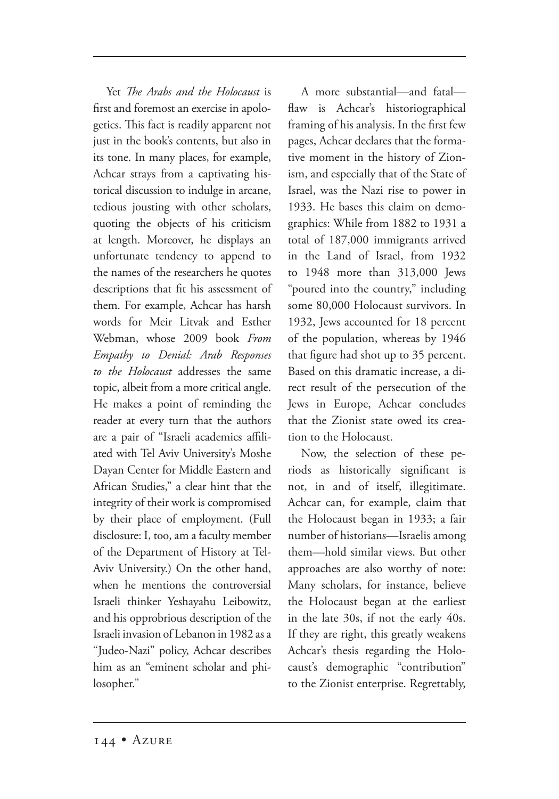Yet *The Arabs and the Holocaust* is first and foremost an exercise in apologetics. This fact is readily apparent not just in the book's contents, but also in its tone. In many places, for example, Achcar strays from a captivating historical discussion to indulge in arcane, tedious jousting with other scholars, quoting the objects of his criticism at length. Moreover, he displays an unfortunate tendency to append to the names of the researchers he quotes descriptions that fit his assessment of them. For example, Achcar has harsh words for Meir Litvak and Esther Webman, whose 2009 book *From Empathy to Denial: Arab Responses to the Holocaust* addresses the same topic, albeit from a more critical angle. He makes a point of reminding the reader at every turn that the authors are a pair of "Israeli academics affiliated with Tel Aviv University's Moshe Dayan Center for Middle Eastern and African Studies," a clear hint that the integrity of their work is compromised by their place of employment. (Full disclosure: I, too, am a faculty member of the Department of History at Tel-Aviv University.) On the other hand, when he mentions the controversial Israeli thinker Yeshayahu Leibowitz, and his opprobrious description of the Israeli invasion of Lebanon in 1982 as a "Judeo-Nazi" policy, Achcar describes him as an "eminent scholar and philosopher."

A more substantial—and fatal flaw is Achcar's historiographical framing of his analysis. In the first few pages, Achcar declares that the formative moment in the history of Zionism, and especially that of the State of Israel, was the Nazi rise to power in 1933. He bases this claim on demographics: While from 1882 to 1931 a total of 187,000 immigrants arrived in the Land of Israel, from 1932 to 1948 more than 313,000 Jews "poured into the country," including some 80,000 Holocaust survivors. In 1932, Jews accounted for 18 percent of the population, whereas by 1946 that figure had shot up to 35 percent. Based on this dramatic increase, a direct result of the persecution of the Jews in Europe, Achcar concludes that the Zionist state owed its creation to the Holocaust.

Now, the selection of these periods as historically significant is not, in and of itself, illegitimate. Achcar can, for example, claim that the Holocaust began in 1933; a fair number of historians—Israelis among them—hold similar views. But other approaches are also worthy of note: Many scholars, for instance, believe the Holocaust began at the earliest in the late 30s, if not the early 40s. If they are right, this greatly weakens Achcar's thesis regarding the Holocaust's demographic "contribution" to the Zionist enterprise. Regrettably,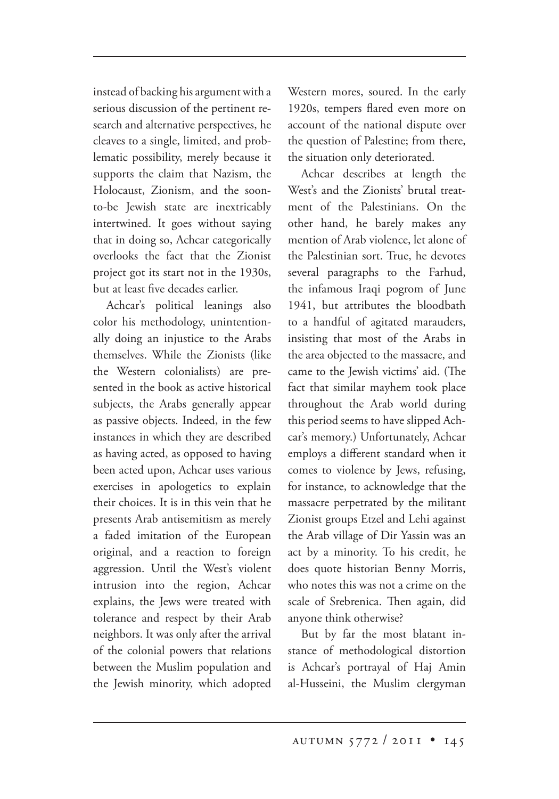instead of backing his argument with a serious discussion of the pertinent research and alternative perspectives, he cleaves to a single, limited, and problematic possibility, merely because it supports the claim that Nazism, the Holocaust, Zionism, and the soonto-be Jewish state are inextricably intertwined. It goes without saying that in doing so, Achcar categorically overlooks the fact that the Zionist project got its start not in the 1930s, but at least five decades earlier.

Achcar's political leanings also color his methodology, unintentionally doing an injustice to the Arabs themselves. While the Zionists (like the Western colonialists) are presented in the book as active historical subjects, the Arabs generally appear as passive objects. Indeed, in the few instances in which they are described as having acted, as opposed to having been acted upon, Achcar uses various exercises in apologetics to explain their choices. It is in this vein that he presents Arab antisemitism as merely a faded imitation of the European original, and a reaction to foreign aggression. Until the West's violent intrusion into the region, Achcar explains, the Jews were treated with tolerance and respect by their Arab neighbors. It was only after the arrival of the colonial powers that relations between the Muslim population and the Jewish minority, which adopted

Western mores, soured. In the early 1920s, tempers flared even more on account of the national dispute over the question of Palestine; from there, the situation only deteriorated.

Achcar describes at length the West's and the Zionists' brutal treatment of the Palestinians. On the other hand, he barely makes any mention of Arab violence, let alone of the Palestinian sort. True, he devotes several paragraphs to the Farhud, the infamous Iraqi pogrom of June 1941, but attributes the bloodbath to a handful of agitated marauders, insisting that most of the Arabs in the area objected to the massacre, and came to the Jewish victims' aid. (The fact that similar mayhem took place throughout the Arab world during this period seems to have slipped Achcar's memory.) Unfortunately, Achcar employs a different standard when it comes to violence by Jews, refusing, for instance, to acknowledge that the massacre perpetrated by the militant Zionist groups Etzel and Lehi against the Arab village of Dir Yassin was an act by a minority. To his credit, he does quote historian Benny Morris, who notes this was not a crime on the scale of Srebrenica. Then again, did anyone think otherwise?

But by far the most blatant instance of methodological distortion is Achcar's portrayal of Haj Amin al-Husseini, the Muslim clergyman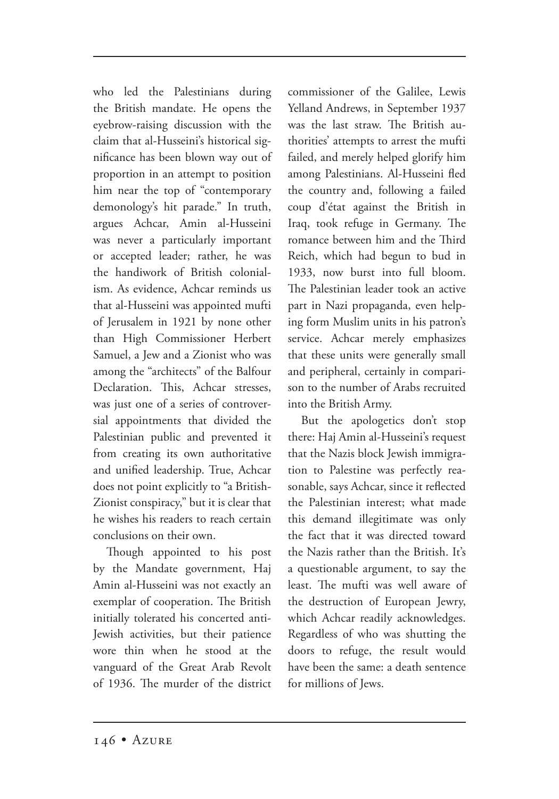who led the Palestinians during the British mandate. He opens the eyebrow-raising discussion with the claim that al-Husseini's historical significance has been blown way out of proportion in an attempt to position him near the top of "contemporary demonology's hit parade." In truth, argues Achcar, Amin al-Husseini was never a particularly important or accepted leader; rather, he was the handiwork of British colonialism. As evidence, Achcar reminds us that al-Husseini was appointed mufti of Jerusalem in 1921 by none other than High Commissioner Herbert Samuel, a Jew and a Zionist who was among the "architects" of the Balfour Declaration. This, Achcar stresses, was just one of a series of controversial appointments that divided the Palestinian public and prevented it from creating its own authoritative and unified leadership. True, Achcar does not point explicitly to "a British-Zionist conspiracy," but it is clear that he wishes his readers to reach certain conclusions on their own.

Though appointed to his post by the Mandate government, Haj Amin al-Husseini was not exactly an exemplar of cooperation. The British initially tolerated his concerted anti-Jewish activities, but their patience wore thin when he stood at the vanguard of the Great Arab Revolt of 1936. The murder of the district commissioner of the Galilee, Lewis Yelland Andrews, in September 1937 was the last straw. The British authorities' attempts to arrest the mufti failed, and merely helped glorify him among Palestinians. Al-Husseini fled the country and, following a failed coup d'état against the British in Iraq, took refuge in Germany. The romance between him and the Third Reich, which had begun to bud in 1933, now burst into full bloom. The Palestinian leader took an active part in Nazi propaganda, even helping form Muslim units in his patron's service. Achcar merely emphasizes that these units were generally small and peripheral, certainly in comparison to the number of Arabs recruited into the British Army.

But the apologetics don't stop there: Haj Amin al-Husseini's request that the Nazis block Jewish immigration to Palestine was perfectly reasonable, says Achcar, since it reflected the Palestinian interest; what made this demand illegitimate was only the fact that it was directed toward the Nazis rather than the British. It's a questionable argument, to say the least. The mufti was well aware of the destruction of European Jewry, which Achcar readily acknowledges. Regardless of who was shutting the doors to refuge, the result would have been the same: a death sentence for millions of Jews.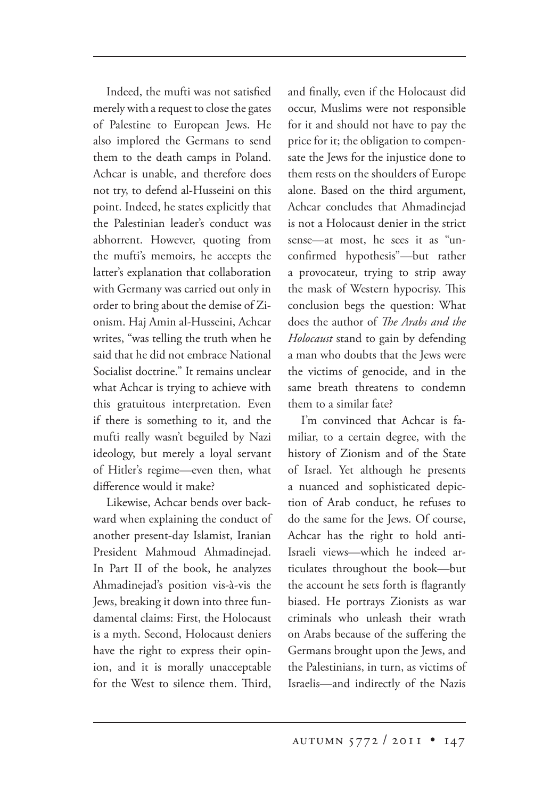Indeed, the mufti was not satisfied merely with a request to close the gates of Palestine to European Jews. He also implored the Germans to send them to the death camps in Poland. Achcar is unable, and therefore does not try, to defend al-Husseini on this point. Indeed, he states explicitly that the Palestinian leader's conduct was abhorrent. However, quoting from the mufti's memoirs, he accepts the latter's explanation that collaboration with Germany was carried out only in order to bring about the demise of Zionism. Haj Amin al-Husseini, Achcar writes, "was telling the truth when he said that he did not embrace National Socialist doctrine." It remains unclear what Achcar is trying to achieve with this gratuitous interpretation. Even if there is something to it, and the mufti really wasn't beguiled by Nazi ideology, but merely a loyal servant of Hitler's regime—even then, what difference would it make?

Likewise, Achcar bends over backward when explaining the conduct of another present-day Islamist, Iranian President Mahmoud Ahmadinejad. In Part II of the book, he analyzes Ahmadinejad's position vis-à-vis the Jews, breaking it down into three fundamental claims: First, the Holocaust is a myth. Second, Holocaust deniers have the right to express their opinion, and it is morally unacceptable for the West to silence them. Third, and finally, even if the Holocaust did occur, Muslims were not responsible for it and should not have to pay the price for it; the obligation to compensate the Jews for the injustice done to them rests on the shoulders of Europe alone. Based on the third argument, Achcar concludes that Ahmadinejad is not a Holocaust denier in the strict sense—at most, he sees it as "unconfirmed hypothesis"—but rather a provocateur, trying to strip away the mask of Western hypocrisy. This conclusion begs the question: What does the author of *The Arabs and the Holocaust* stand to gain by defending a man who doubts that the Jews were the victims of genocide, and in the same breath threatens to condemn them to a similar fate?

I'm convinced that Achcar is familiar, to a certain degree, with the history of Zionism and of the State of Israel. Yet although he presents a nuanced and sophisticated depiction of Arab conduct, he refuses to do the same for the Jews. Of course, Achcar has the right to hold anti-Israeli views—which he indeed articulates throughout the book—but the account he sets forth is flagrantly biased. He portrays Zionists as war criminals who unleash their wrath on Arabs because of the suffering the Germans brought upon the Jews, and the Palestinians, in turn, as victims of Israelis—and indirectly of the Nazis